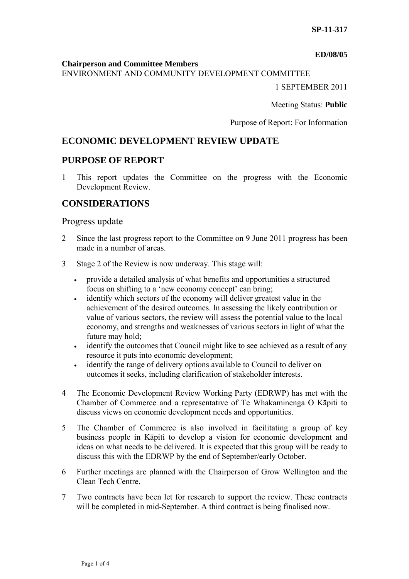#### **ED/08/05**

#### **Chairperson and Committee Members**

ENVIRONMENT AND COMMUNITY DEVELOPMENT COMMITTEE

1 SEPTEMBER 2011

Meeting Status: **Public**

Purpose of Report: For Information

# **ECONOMIC DEVELOPMENT REVIEW UPDATE**

# **PURPOSE OF REPORT**

1 This report updates the Committee on the progress with the Economic Development Review.

# **CONSIDERATIONS**

### Progress update

- 2 Since the last progress report to the Committee on 9 June 2011 progress has been made in a number of areas.
- 3 Stage 2 of the Review is now underway. This stage will:
	- provide a detailed analysis of what benefits and opportunities a structured focus on shifting to a 'new economy concept' can bring;
	- identify which sectors of the economy will deliver greatest value in the achievement of the desired outcomes. In assessing the likely contribution or value of various sectors, the review will assess the potential value to the local economy, and strengths and weaknesses of various sectors in light of what the future may hold;
	- identify the outcomes that Council might like to see achieved as a result of any resource it puts into economic development;
	- identify the range of delivery options available to Council to deliver on outcomes it seeks, including clarification of stakeholder interests.
- 4 The Economic Development Review Working Party (EDRWP) has met with the Chamber of Commerce and a representative of Te Whakaminenga O Kāpiti to discuss views on economic development needs and opportunities.
- 5 The Chamber of Commerce is also involved in facilitating a group of key business people in Kāpiti to develop a vision for economic development and ideas on what needs to be delivered. It is expected that this group will be ready to discuss this with the EDRWP by the end of September/early October.
- 6 Further meetings are planned with the Chairperson of Grow Wellington and the Clean Tech Centre.
- 7 Two contracts have been let for research to support the review. These contracts will be completed in mid-September. A third contract is being finalised now.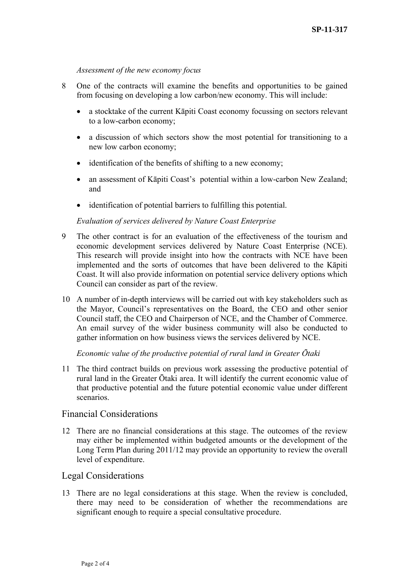#### *Assessment of the new economy focus*

- 8 One of the contracts will examine the benefits and opportunities to be gained from focusing on developing a low carbon/new economy. This will include:
	- a stocktake of the current Kāpiti Coast economy focussing on sectors relevant to a low-carbon economy;
	- a discussion of which sectors show the most potential for transitioning to a new low carbon economy;
	- identification of the benefits of shifting to a new economy;
	- an assessment of Kāpiti Coast's potential within a low-carbon New Zealand; and
	- identification of potential barriers to fulfilling this potential.

#### *Evaluation of services delivered by Nature Coast Enterprise*

- 9 The other contract is for an evaluation of the effectiveness of the tourism and economic development services delivered by Nature Coast Enterprise (NCE). This research will provide insight into how the contracts with NCE have been implemented and the sorts of outcomes that have been delivered to the Kāpiti Coast. It will also provide information on potential service delivery options which Council can consider as part of the review.
- 10 A number of in-depth interviews will be carried out with key stakeholders such as the Mayor, Council's representatives on the Board, the CEO and other senior Council staff, the CEO and Chairperson of NCE, and the Chamber of Commerce. An email survey of the wider business community will also be conducted to gather information on how business views the services delivered by NCE.

*Economic value of the productive potential of rural land in Greater Ōtaki* 

11 The third contract builds on previous work assessing the productive potential of rural land in the Greater Ōtaki area. It will identify the current economic value of that productive potential and the future potential economic value under different scenarios.

#### Financial Considerations

12 There are no financial considerations at this stage. The outcomes of the review may either be implemented within budgeted amounts or the development of the Long Term Plan during 2011/12 may provide an opportunity to review the overall level of expenditure.

### Legal Considerations

13 There are no legal considerations at this stage. When the review is concluded, there may need to be consideration of whether the recommendations are significant enough to require a special consultative procedure.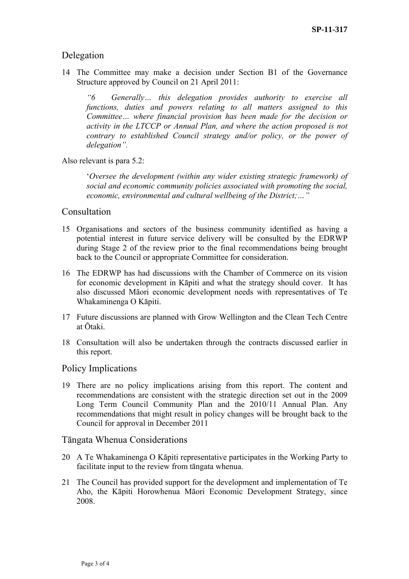# Delegation

14 The Committee may make a decision under Section B1 of the Governance Structure approved by Council on 21 April 2011:

*"6 Generally… this delegation provides authority to exercise all functions, duties and powers relating to all matters assigned to this Committee… where financial provision has been made for the decision or activity in the LTCCP or Annual Plan, and where the action proposed is not contrary to established Council strategy and/or policy, or the power of delegation".* 

Also relevant is para 5.2:

'*Oversee the development (within any wider existing strategic framework) of social and economic community policies associated with promoting the social, economic, environmental and cultural wellbeing of the District;…"* 

# Consultation

- 15 Organisations and sectors of the business community identified as having a potential interest in future service delivery will be consulted by the EDRWP during Stage 2 of the review prior to the final recommendations being brought back to the Council or appropriate Committee for consideration.
- 16 The EDRWP has had discussions with the Chamber of Commerce on its vision for economic development in Kāpiti and what the strategy should cover. It has also discussed Māori economic development needs with representatives of Te Whakaminenga O Kāpiti.
- 17 Future discussions are planned with Grow Wellington and the Clean Tech Centre at Ōtaki.
- 18 Consultation will also be undertaken through the contracts discussed earlier in this report.

### Policy Implications

19 There are no policy implications arising from this report. The content and recommendations are consistent with the strategic direction set out in the 2009 Long Term Council Community Plan and the 2010/11 Annual Plan. Any recommendations that might result in policy changes will be brought back to the Council for approval in December 2011

### Tāngata Whenua Considerations

- 20 A Te Whakaminenga O Kāpiti representative participates in the Working Party to facilitate input to the review from tāngata whenua.
- 21 The Council has provided support for the development and implementation of Te Aho, the Kāpiti Horowhenua Māori Economic Development Strategy, since 2008.